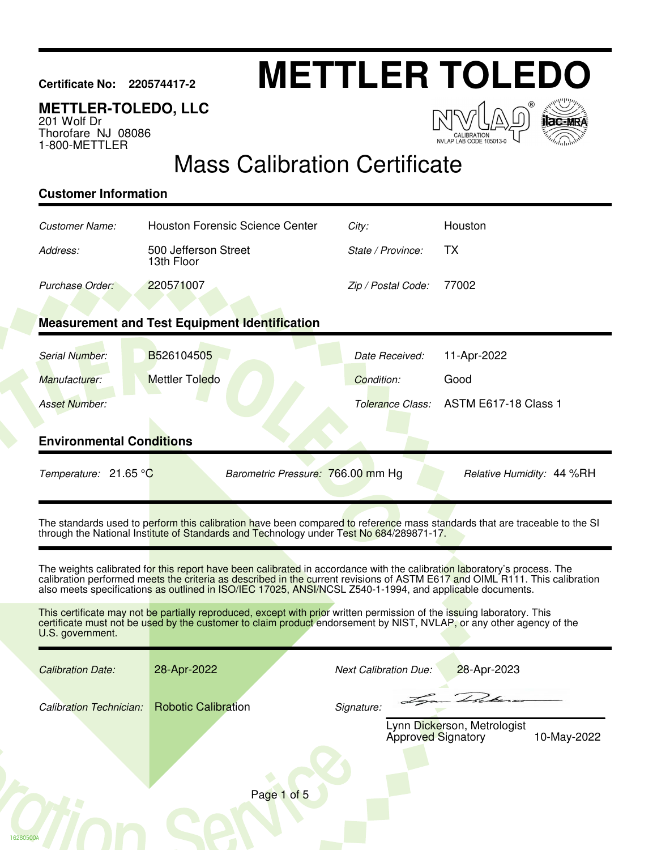# **Certificate No: 220574417-2 METTLER TOLEDO**

### **METTLER-TOLEDO, LLC**

201 Wolf Dr Thorofare NJ 08086 1-800-METTLER

 $\sqrt{2}$ NVLAP LAB CODE 105013-0



## Mass Calibration Certificate

#### **Customer Information**

16280500A

| Customer Name:                                                                                                                                                                                                                                                                                                                                                      | <b>Houston Forensic Science Center</b>               | City:                        | Houston                                    |  |  |  |  |
|---------------------------------------------------------------------------------------------------------------------------------------------------------------------------------------------------------------------------------------------------------------------------------------------------------------------------------------------------------------------|------------------------------------------------------|------------------------------|--------------------------------------------|--|--|--|--|
| Address:                                                                                                                                                                                                                                                                                                                                                            | 500 Jefferson Street<br>13th Floor                   | State / Province:            | <b>TX</b>                                  |  |  |  |  |
| Purchase Order:                                                                                                                                                                                                                                                                                                                                                     | 220571007                                            | Zip / Postal Code:           | 77002                                      |  |  |  |  |
|                                                                                                                                                                                                                                                                                                                                                                     |                                                      |                              |                                            |  |  |  |  |
|                                                                                                                                                                                                                                                                                                                                                                     | <b>Measurement and Test Equipment Identification</b> |                              |                                            |  |  |  |  |
| Serial Number:                                                                                                                                                                                                                                                                                                                                                      | B526104505                                           | Date Received:               | 11-Apr-2022                                |  |  |  |  |
| Manufacturer:                                                                                                                                                                                                                                                                                                                                                       | <b>Mettler Toledo</b>                                | Condition:                   | Good                                       |  |  |  |  |
| <b>Asset Number:</b>                                                                                                                                                                                                                                                                                                                                                |                                                      | Tolerance Class:             | <b>ASTM E617-18 Class 1</b>                |  |  |  |  |
|                                                                                                                                                                                                                                                                                                                                                                     |                                                      |                              |                                            |  |  |  |  |
| <b>Environmental Conditions</b>                                                                                                                                                                                                                                                                                                                                     |                                                      |                              |                                            |  |  |  |  |
| Temperature: 21.65 °C                                                                                                                                                                                                                                                                                                                                               | Barometric Pressure: 766.00 mm Hg                    |                              | Relative Humidity: 44 %RH                  |  |  |  |  |
| The standards used to perform this calibration have been compared to reference mass standards that are traceable to the SI<br>through the National Institute of Standards and Technology under Test No 684/289871-17.                                                                                                                                               |                                                      |                              |                                            |  |  |  |  |
| The weights calibrated for this report have been calibrated in accordance with the calibration laboratory's process. The<br>calibration performed meets the criteria as described in the current revisions of ASTM E617 and OIML R111. This calibration<br>also meets specifications as outlined in ISO/IEC 17025, ANSI/NCSL Z540-1-1994, and applicable documents. |                                                      |                              |                                            |  |  |  |  |
| This certificate may not be partially reproduced, except with prior written permission of the issuing laboratory. This<br>certificate must not be used by the customer to claim product endorsement by NIST, NVLAP, or any other agency of the<br>U.S. government.                                                                                                  |                                                      |                              |                                            |  |  |  |  |
| <b>Calibration Date:</b>                                                                                                                                                                                                                                                                                                                                            | 28-Apr-2022                                          | <b>Next Calibration Due:</b> | 28-Apr-2023                                |  |  |  |  |
| <b>Calibration Technician:</b>                                                                                                                                                                                                                                                                                                                                      | <b>Robotic Calibration</b>                           | Signature:                   |                                            |  |  |  |  |
|                                                                                                                                                                                                                                                                                                                                                                     |                                                      | <b>Approved Signatory</b>    | Lynn Dickerson, Metrologist<br>10-May-2022 |  |  |  |  |
|                                                                                                                                                                                                                                                                                                                                                                     |                                                      |                              |                                            |  |  |  |  |
| Page 1 of 5                                                                                                                                                                                                                                                                                                                                                         |                                                      |                              |                                            |  |  |  |  |
|                                                                                                                                                                                                                                                                                                                                                                     |                                                      |                              |                                            |  |  |  |  |
|                                                                                                                                                                                                                                                                                                                                                                     |                                                      |                              |                                            |  |  |  |  |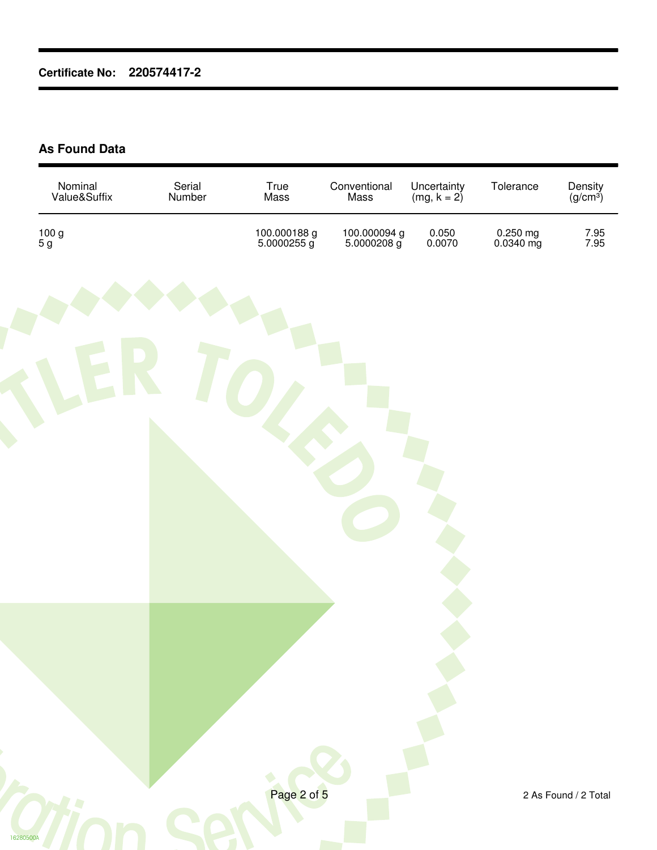#### **As Found Data**

| Nominal<br>Value&Suffix                                    | Serial<br>Number | True<br>Mass                | Conventional<br>Mass        | Uncertainty<br>(mg, $k = 2$ ) | Tolerance                                 | Density<br>(g/cm <sup>3</sup> ) |
|------------------------------------------------------------|------------------|-----------------------------|-----------------------------|-------------------------------|-------------------------------------------|---------------------------------|
| $\begin{array}{c} 100 \text{ g}\\ 5 \text{ g} \end{array}$ |                  | 100.000188 g<br>5.0000255 g | 100.000094 g<br>5.0000208 g | $0.050 \\ 0.0070$             | $0.250 \text{ mg}$<br>$0.0340 \text{ mg}$ | 7.95<br>7.95                    |
|                                                            |                  |                             |                             |                               |                                           |                                 |
|                                                            |                  | Page 2 of 5                 |                             |                               |                                           | 2 As Found / 2 Total            |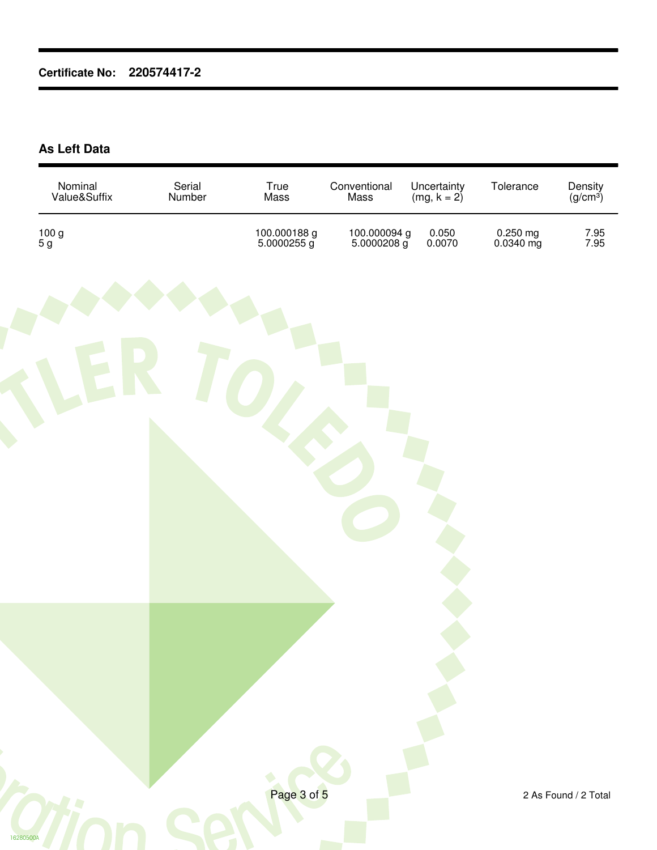**As Left Data**

| Nominal<br>Value&Suffix                                    | Serial<br>Number | True<br>Mass                | Conventional<br>Mass        | Uncertainty<br>(mg, $k = 2$ ) | Tolerance                                 | Density<br>(g/cm <sup>3</sup> ) |
|------------------------------------------------------------|------------------|-----------------------------|-----------------------------|-------------------------------|-------------------------------------------|---------------------------------|
| $\begin{array}{c} 100 \text{ g}\\ 5 \text{ g} \end{array}$ |                  | 100.000188 g<br>5.0000255 g | 100.000094 g<br>5.0000208 g | $0.050 \\ 0.0070$             | $0.250 \text{ mg}$<br>$0.0340 \text{ mg}$ | 7.95<br>7.95                    |
|                                                            |                  |                             |                             |                               |                                           |                                 |
| 16280500A                                                  |                  | Page 3 of 5                 |                             |                               |                                           | 2 As Found / 2 Total            |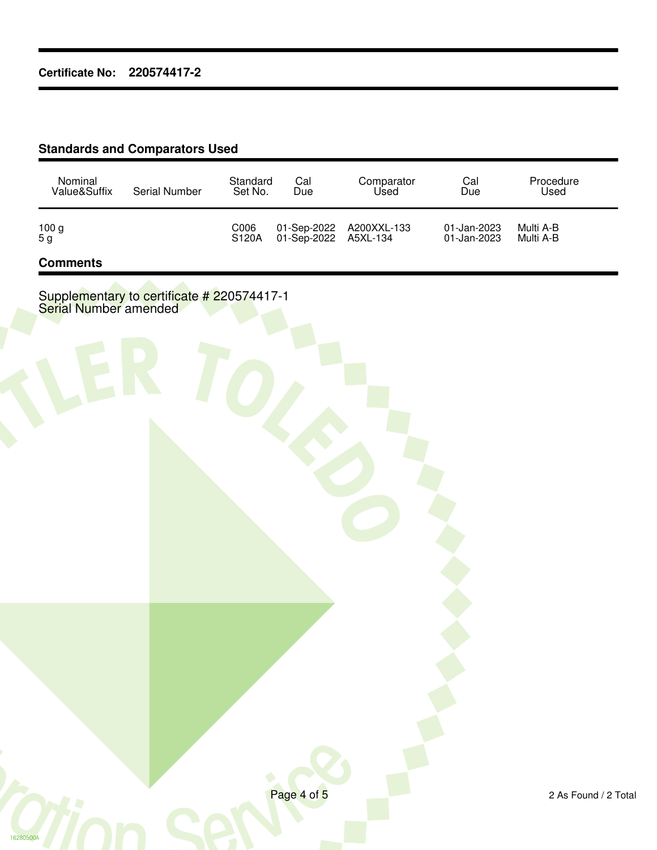#### **Standards and Comparators Used**

| Nominal      | Serial Number | Standard      | Cal                  | Comparator              | Cal                        | Procedure              |
|--------------|---------------|---------------|----------------------|-------------------------|----------------------------|------------------------|
| Value&Suffix |               | Set No.       | Due                  | Used                    | Due                        | Used                   |
| 100 g<br>5 g |               | C006<br>S120A | 01-Sep-2022 A5XL-134 | 01-Sep-2022 A200XXL-133 | 01-Jan-2023<br>01-Jan-2023 | Multi A-B<br>Multi A-B |

#### **Comments**

16280500

Supplementary to certificate # 220574417-1 Serial Number amended